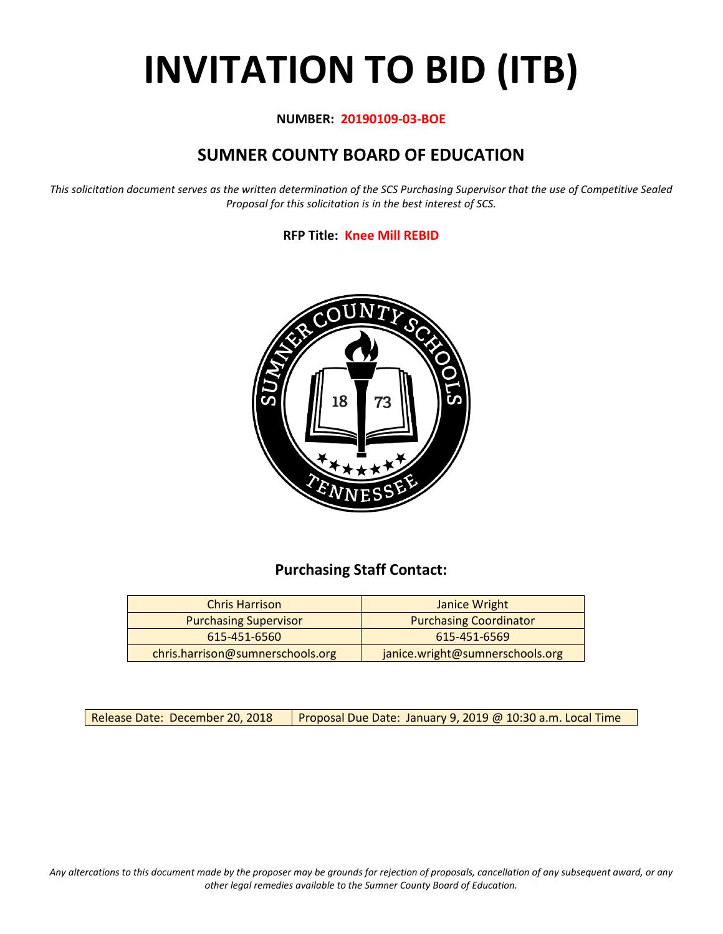# **INVITATION TO BID (ITB)**

#### **NUMBER: 20190109-03-BOE**

# **SUMNER COUNTY BOARD OF EDUCATION**

*This solicitation document serves as the written determination of the SCS Purchasing Supervisor that the use of Competitive Sealed Proposal for this solicitation is in the best interest of SCS.*

#### **RFP Title: Knee Mill REBID**



## **Purchasing Staff Contact:**

| <b>Chris Harrison</b>            | Janice Wright                   |
|----------------------------------|---------------------------------|
| <b>Purchasing Supervisor</b>     | <b>Purchasing Coordinator</b>   |
| 615-451-6560                     | 615-451-6569                    |
| chris.harrison@sumnerschools.org | janice.wright@sumnerschools.org |

Release Date: December 20, 2018 | Proposal Due Date: January 9, 2019 @ 10:30 a.m. Local Time

*Any altercations to this document made by the proposer may be grounds for rejection of proposals, cancellation of any subsequent award, or any other legal remedies available to the Sumner County Board of Education.*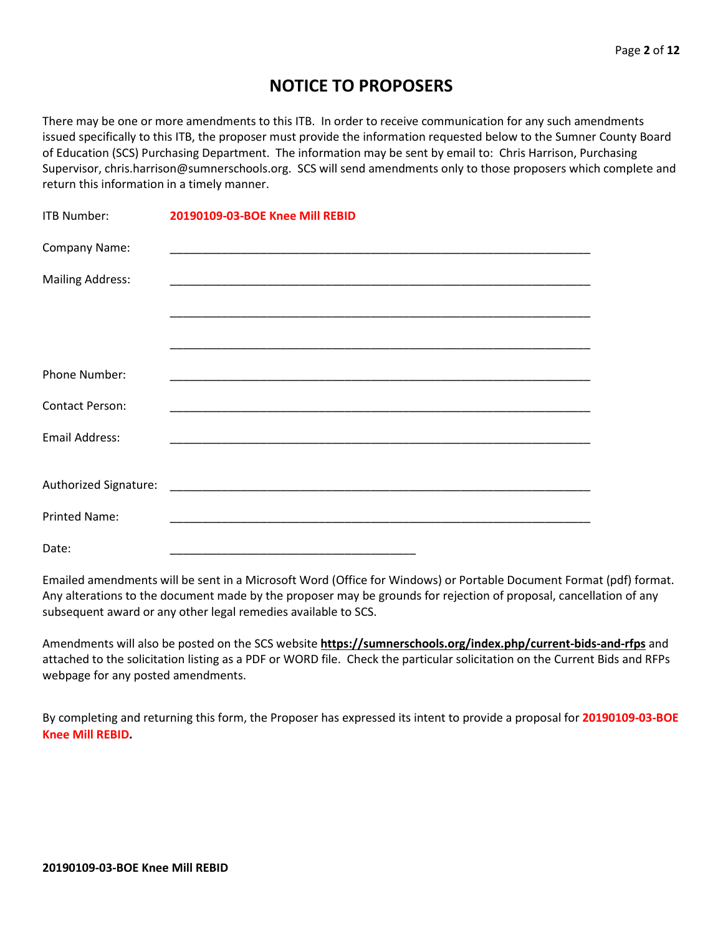## **NOTICE TO PROPOSERS**

There may be one or more amendments to this ITB. In order to receive communication for any such amendments issued specifically to this ITB, the proposer must provide the information requested below to the Sumner County Board of Education (SCS) Purchasing Department. The information may be sent by email to: Chris Harrison, Purchasing Supervisor, chris.harrison@sumnerschools.org. SCS will send amendments only to those proposers which complete and return this information in a timely manner.

| ITB Number:             | 20190109-03-BOE Knee Mill REBID |
|-------------------------|---------------------------------|
| Company Name:           |                                 |
| <b>Mailing Address:</b> |                                 |
|                         |                                 |
|                         |                                 |
| <b>Phone Number:</b>    |                                 |
| <b>Contact Person:</b>  |                                 |
| <b>Email Address:</b>   |                                 |
|                         |                                 |
|                         |                                 |
| <b>Printed Name:</b>    |                                 |
| Date:                   |                                 |

Emailed amendments will be sent in a Microsoft Word (Office for Windows) or Portable Document Format (pdf) format. Any alterations to the document made by the proposer may be grounds for rejection of proposal, cancellation of any subsequent award or any other legal remedies available to SCS.

Amendments will also be posted on the SCS website **https://sumnerschools.org/index.php/current-bids-and-rfps** and attached to the solicitation listing as a PDF or WORD file. Check the particular solicitation on the Current Bids and RFPs webpage for any posted amendments.

By completing and returning this form, the Proposer has expressed its intent to provide a proposal for **20190109-03-BOE Knee Mill REBID.**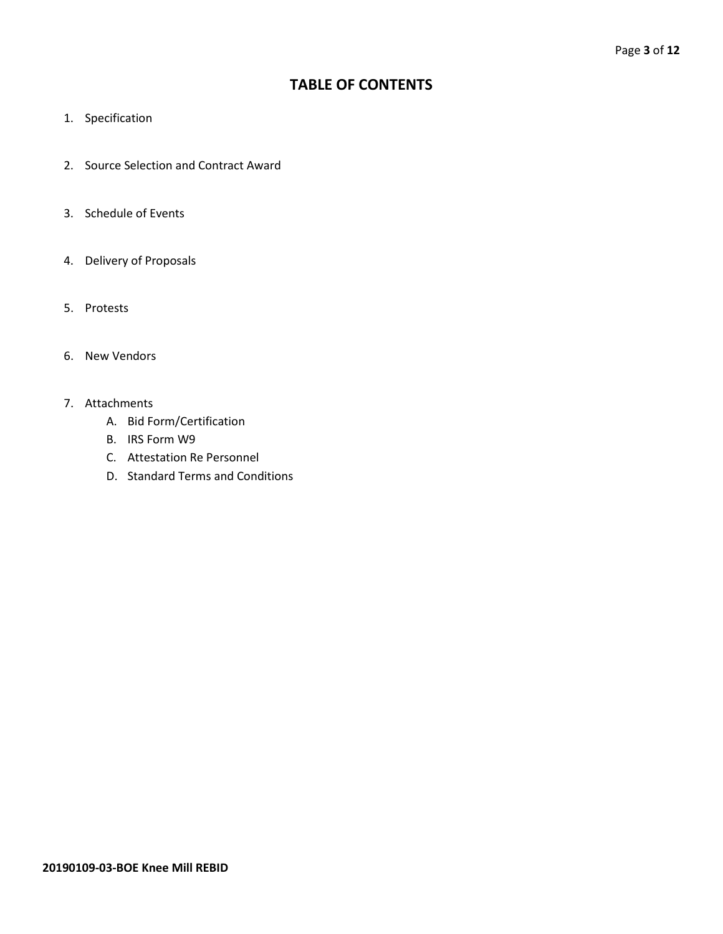## **TABLE OF CONTENTS**

- 1. Specification
- 2. Source Selection and Contract Award
- 3. Schedule of Events
- 4. Delivery of Proposals
- 5. Protests
- 6. New Vendors
- 7. Attachments
	- A. Bid Form/Certification
	- B. IRS Form W9
	- C. Attestation Re Personnel
	- D. Standard Terms and Conditions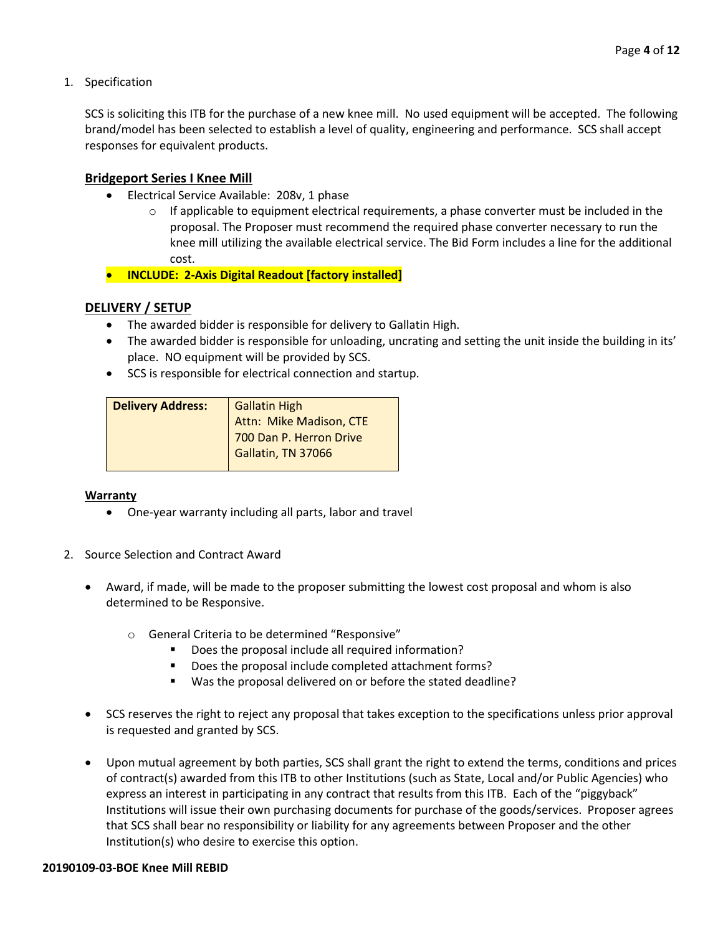1. Specification

SCS is soliciting this ITB for the purchase of a new knee mill. No used equipment will be accepted. The following brand/model has been selected to establish a level of quality, engineering and performance. SCS shall accept responses for equivalent products.

#### **Bridgeport Series I Knee Mill**

- Electrical Service Available: 208v, 1 phase
	- $\circ$  If applicable to equipment electrical requirements, a phase converter must be included in the proposal. The Proposer must recommend the required phase converter necessary to run the knee mill utilizing the available electrical service. The Bid Form includes a line for the additional cost.
- **INCLUDE: 2-Axis Digital Readout [factory installed]**

#### **DELIVERY / SETUP**

- The awarded bidder is responsible for delivery to Gallatin High.
- The awarded bidder is responsible for unloading, uncrating and setting the unit inside the building in its' place. NO equipment will be provided by SCS.
- SCS is responsible for electrical connection and startup.

| <b>Delivery Address:</b> | <b>Gallatin High</b>     |  |  |
|--------------------------|--------------------------|--|--|
|                          | Attn: Mike Madison, CTE  |  |  |
|                          | 1700 Dan P. Herron Drive |  |  |
|                          | Gallatin, TN 37066       |  |  |
|                          |                          |  |  |

#### **Warranty**

- One-year warranty including all parts, labor and travel
- 2. Source Selection and Contract Award
	- Award, if made, will be made to the proposer submitting the lowest cost proposal and whom is also determined to be Responsive.
		- o General Criteria to be determined "Responsive"
			- Does the proposal include all required information?
			- Does the proposal include completed attachment forms?
			- Was the proposal delivered on or before the stated deadline?
	- SCS reserves the right to reject any proposal that takes exception to the specifications unless prior approval is requested and granted by SCS.
	- Upon mutual agreement by both parties, SCS shall grant the right to extend the terms, conditions and prices of contract(s) awarded from this ITB to other Institutions (such as State, Local and/or Public Agencies) who express an interest in participating in any contract that results from this ITB. Each of the "piggyback" Institutions will issue their own purchasing documents for purchase of the goods/services. Proposer agrees that SCS shall bear no responsibility or liability for any agreements between Proposer and the other Institution(s) who desire to exercise this option.

#### **20190109-03-BOE Knee Mill REBID**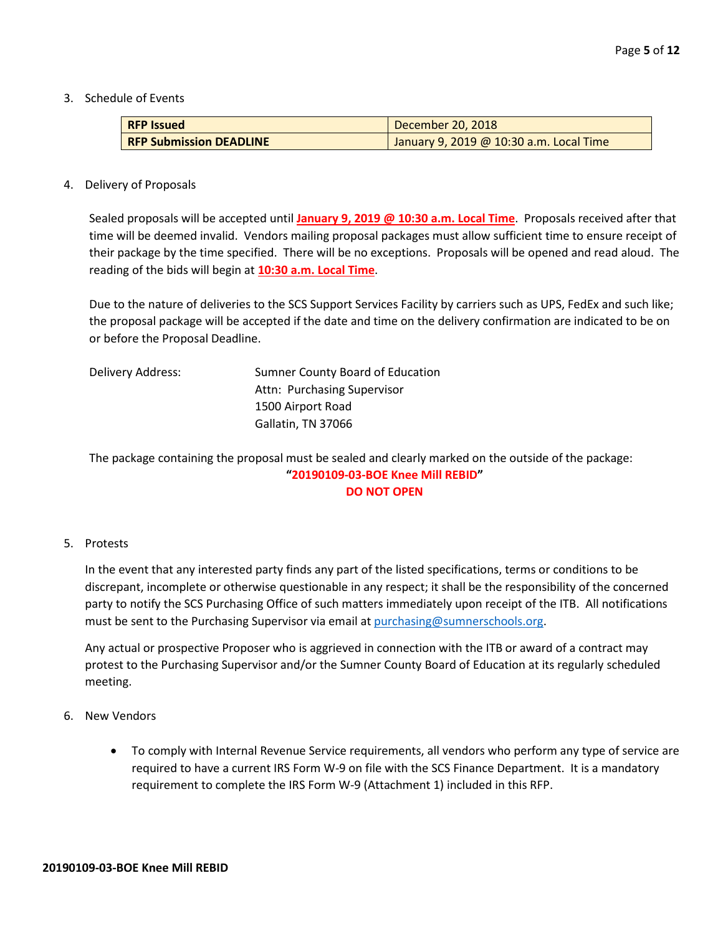3. Schedule of Events

| <b>RFP Issued</b>              | December 20, 2018                       |
|--------------------------------|-----------------------------------------|
| <b>RFP Submission DEADLINE</b> | January 9, 2019 @ 10:30 a.m. Local Time |

#### 4. Delivery of Proposals

Sealed proposals will be accepted until **January 9, 2019 @ 10:30 a.m. Local Time**. Proposals received after that time will be deemed invalid. Vendors mailing proposal packages must allow sufficient time to ensure receipt of their package by the time specified. There will be no exceptions. Proposals will be opened and read aloud. The reading of the bids will begin at **10:30 a.m. Local Time**.

Due to the nature of deliveries to the SCS Support Services Facility by carriers such as UPS, FedEx and such like; the proposal package will be accepted if the date and time on the delivery confirmation are indicated to be on or before the Proposal Deadline.

| Delivery Address: | Sumner County Board of Education |
|-------------------|----------------------------------|
|                   | Attn: Purchasing Supervisor      |
|                   | 1500 Airport Road                |
|                   | Gallatin, TN 37066               |
|                   |                                  |

The package containing the proposal must be sealed and clearly marked on the outside of the package: **"20190109-03-BOE Knee Mill REBID" DO NOT OPEN**

#### 5. Protests

In the event that any interested party finds any part of the listed specifications, terms or conditions to be discrepant, incomplete or otherwise questionable in any respect; it shall be the responsibility of the concerned party to notify the SCS Purchasing Office of such matters immediately upon receipt of the ITB. All notifications must be sent to the Purchasing Supervisor via email at [purchasing@sumnerschools.org.](mailto:purchasing@sumnerschools.org)

Any actual or prospective Proposer who is aggrieved in connection with the ITB or award of a contract may protest to the Purchasing Supervisor and/or the Sumner County Board of Education at its regularly scheduled meeting.

- 6. New Vendors
	- To comply with Internal Revenue Service requirements, all vendors who perform any type of service are required to have a current IRS Form W-9 on file with the SCS Finance Department. It is a mandatory requirement to complete the IRS Form W-9 (Attachment 1) included in this RFP.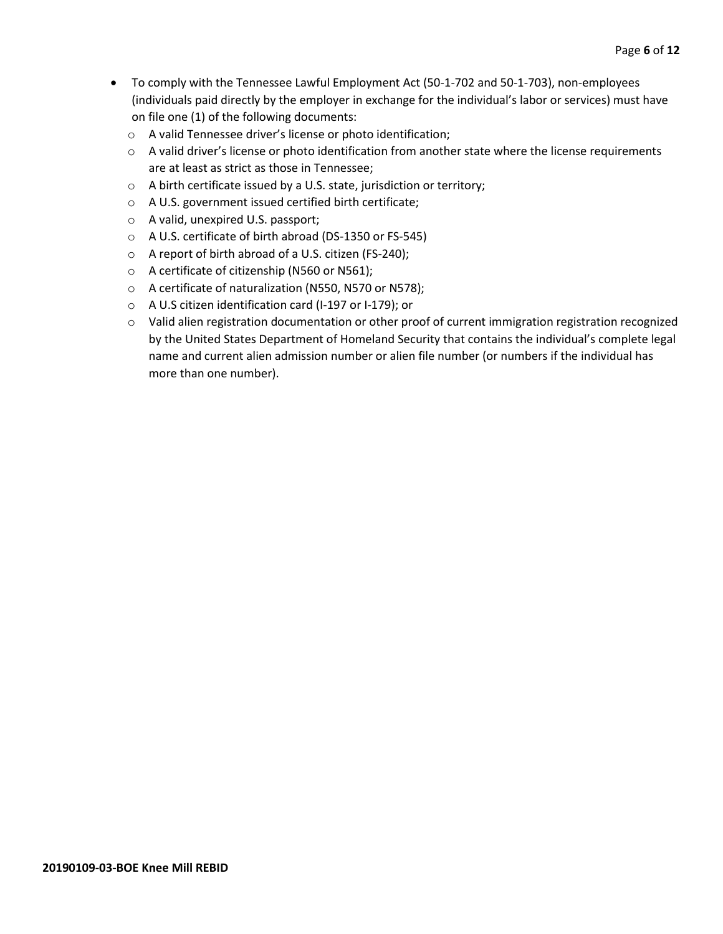- To comply with the Tennessee Lawful Employment Act (50-1-702 and 50-1-703), non-employees (individuals paid directly by the employer in exchange for the individual's labor or services) must have on file one (1) of the following documents:
	- o A valid Tennessee driver's license or photo identification;
	- $\circ$  A valid driver's license or photo identification from another state where the license requirements are at least as strict as those in Tennessee;
	- o A birth certificate issued by a U.S. state, jurisdiction or territory;
	- o A U.S. government issued certified birth certificate;
	- o A valid, unexpired U.S. passport;
	- o A U.S. certificate of birth abroad (DS-1350 or FS-545)
	- o A report of birth abroad of a U.S. citizen (FS-240);
	- o A certificate of citizenship (N560 or N561);
	- o A certificate of naturalization (N550, N570 or N578);
	- o A U.S citizen identification card (I-197 or I-179); or
	- o Valid alien registration documentation or other proof of current immigration registration recognized by the United States Department of Homeland Security that contains the individual's complete legal name and current alien admission number or alien file number (or numbers if the individual has more than one number).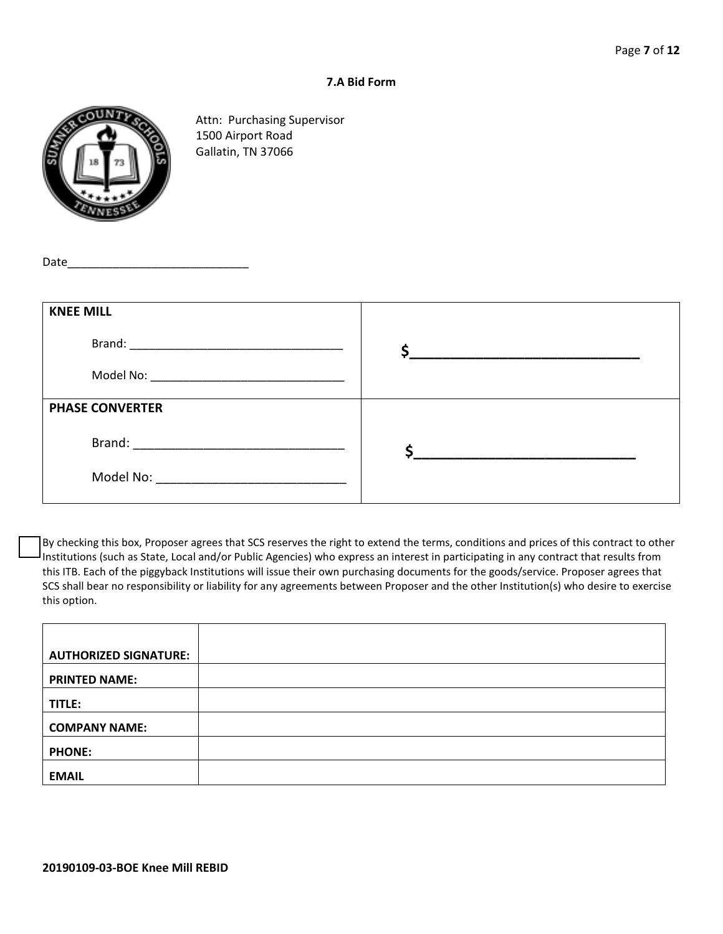#### **7.A Bid Form**



Attn: Purchasing Supervisor 1500 Airport Road Gallatin, TN 37066

Date

| <b>KNEE MILL</b>       |  |
|------------------------|--|
|                        |  |
|                        |  |
| <b>PHASE CONVERTER</b> |  |
|                        |  |
|                        |  |
|                        |  |

By checking this box, Proposer agrees that SCS reserves the right to extend the terms, conditions and prices of this contract to other Institutions (such as State, Local and/or Public Agencies) who express an interest in participating in any contract that results from this ITB. Each of the piggyback Institutions will issue their own purchasing documents for the goods/service. Proposer agrees that SCS shall bear no responsibility or liability for any agreements between Proposer and the other Institution(s) who desire to exercise this option.

| <b>AUTHORIZED SIGNATURE:</b> |  |
|------------------------------|--|
|                              |  |
|                              |  |
|                              |  |
| <b>PRINTED NAME:</b>         |  |
|                              |  |
|                              |  |
| TITLE:                       |  |
|                              |  |
|                              |  |
| <b>COMPANY NAME:</b>         |  |
|                              |  |
|                              |  |
| <b>PHONE:</b>                |  |
|                              |  |
|                              |  |
|                              |  |
| <b>EMAIL</b>                 |  |
|                              |  |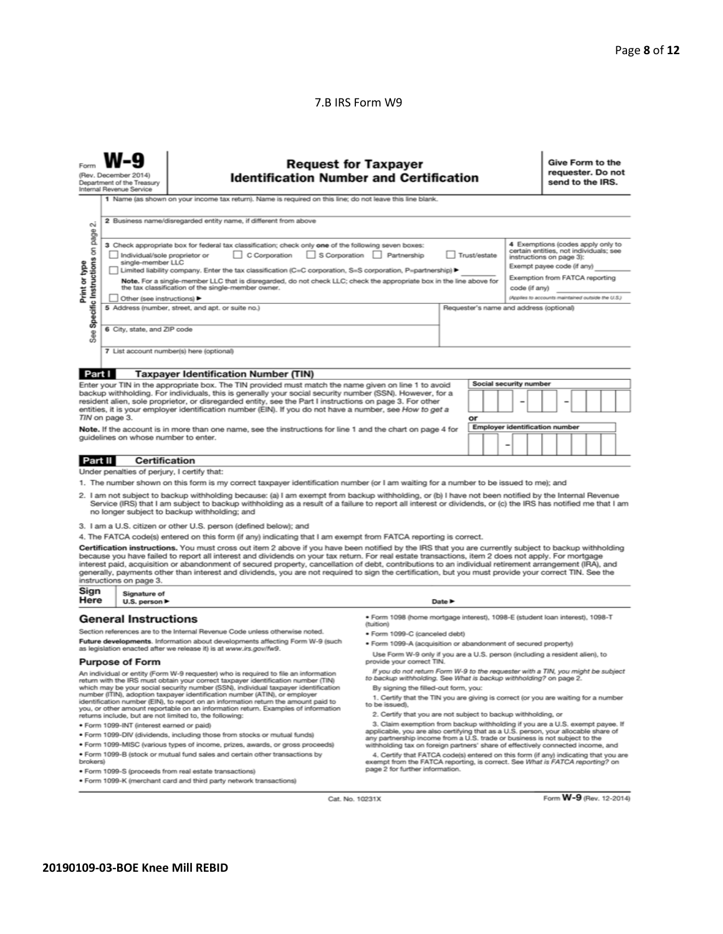#### 7.B IRS Form W9

| <b>Request for Taxpayer</b><br><b>Identification Number and Certification</b><br>(Rev. December 2014)<br>Department of the Treasury<br>Internal Revenue Service                                                                                                                                                                                                                                                                                                                                                          |                                                                                                                                                                                                                                                    |                                                                                                                                                                                                                                                                                                                                                                                                                                                                                                                                                                                                                               |                                                                                                                                               |                                                                                                                                                                  |    | Give Form to the<br>requester. Do not<br>send to the IRS. |                                                   |  |  |
|--------------------------------------------------------------------------------------------------------------------------------------------------------------------------------------------------------------------------------------------------------------------------------------------------------------------------------------------------------------------------------------------------------------------------------------------------------------------------------------------------------------------------|----------------------------------------------------------------------------------------------------------------------------------------------------------------------------------------------------------------------------------------------------|-------------------------------------------------------------------------------------------------------------------------------------------------------------------------------------------------------------------------------------------------------------------------------------------------------------------------------------------------------------------------------------------------------------------------------------------------------------------------------------------------------------------------------------------------------------------------------------------------------------------------------|-----------------------------------------------------------------------------------------------------------------------------------------------|------------------------------------------------------------------------------------------------------------------------------------------------------------------|----|-----------------------------------------------------------|---------------------------------------------------|--|--|
|                                                                                                                                                                                                                                                                                                                                                                                                                                                                                                                          |                                                                                                                                                                                                                                                    | 1 Name (as shown on your income tax return). Name is required on this line; do not leave this line blank.                                                                                                                                                                                                                                                                                                                                                                                                                                                                                                                     |                                                                                                                                               |                                                                                                                                                                  |    |                                                           |                                                   |  |  |
| οû                                                                                                                                                                                                                                                                                                                                                                                                                                                                                                                       |                                                                                                                                                                                                                                                    | 2 Business name/disregarded entity name, if different from above                                                                                                                                                                                                                                                                                                                                                                                                                                                                                                                                                              |                                                                                                                                               |                                                                                                                                                                  |    |                                                           |                                                   |  |  |
| See Specific Instructions on page<br>4 Exemptions (codes apply only to<br>3 Check appropriate box for federal tax classification; check only one of the following seven boxes:<br>certain entities, not individuals; see<br>Individual/sole proprietor or<br>C Corporation<br>S Corporation<br>Partnership<br>Trust/estate<br>instructions on page 3):<br>single-member LLC<br>Exempt payee code (if any)<br>Limited liability company. Enter the tax classification (C=C corporation, S=S corporation, P=partnership) ▶ |                                                                                                                                                                                                                                                    |                                                                                                                                                                                                                                                                                                                                                                                                                                                                                                                                                                                                                               |                                                                                                                                               |                                                                                                                                                                  |    |                                                           |                                                   |  |  |
| Print or type<br>Exemption from FATCA reporting<br>Note. For a single-member LLC that is disregarded, do not check LLC; check the appropriate box in the line above for<br>the tax classification of the single-member owner.<br>code (if any)                                                                                                                                                                                                                                                                           |                                                                                                                                                                                                                                                    |                                                                                                                                                                                                                                                                                                                                                                                                                                                                                                                                                                                                                               |                                                                                                                                               |                                                                                                                                                                  |    |                                                           |                                                   |  |  |
|                                                                                                                                                                                                                                                                                                                                                                                                                                                                                                                          | Other (see instructions)                                                                                                                                                                                                                           | 5 Address (number, street, and apt. or suite no.)                                                                                                                                                                                                                                                                                                                                                                                                                                                                                                                                                                             |                                                                                                                                               |                                                                                                                                                                  |    |                                                           | (Applies to accounts maintained outside the U.S.) |  |  |
|                                                                                                                                                                                                                                                                                                                                                                                                                                                                                                                          |                                                                                                                                                                                                                                                    |                                                                                                                                                                                                                                                                                                                                                                                                                                                                                                                                                                                                                               |                                                                                                                                               |                                                                                                                                                                  |    | Requester's name and address (optional)                   |                                                   |  |  |
| 6 City, state, and ZIP code                                                                                                                                                                                                                                                                                                                                                                                                                                                                                              |                                                                                                                                                                                                                                                    |                                                                                                                                                                                                                                                                                                                                                                                                                                                                                                                                                                                                                               |                                                                                                                                               |                                                                                                                                                                  |    |                                                           |                                                   |  |  |
|                                                                                                                                                                                                                                                                                                                                                                                                                                                                                                                          |                                                                                                                                                                                                                                                    | 7 List account number(s) here (optional)                                                                                                                                                                                                                                                                                                                                                                                                                                                                                                                                                                                      |                                                                                                                                               |                                                                                                                                                                  |    |                                                           |                                                   |  |  |
| Part I                                                                                                                                                                                                                                                                                                                                                                                                                                                                                                                   |                                                                                                                                                                                                                                                    | <b>Taxpayer Identification Number (TIN)</b>                                                                                                                                                                                                                                                                                                                                                                                                                                                                                                                                                                                   |                                                                                                                                               |                                                                                                                                                                  |    |                                                           |                                                   |  |  |
|                                                                                                                                                                                                                                                                                                                                                                                                                                                                                                                          |                                                                                                                                                                                                                                                    | Enter your TIN in the appropriate box. The TIN provided must match the name given on line 1 to avoid                                                                                                                                                                                                                                                                                                                                                                                                                                                                                                                          |                                                                                                                                               |                                                                                                                                                                  |    | Social security number                                    |                                                   |  |  |
|                                                                                                                                                                                                                                                                                                                                                                                                                                                                                                                          |                                                                                                                                                                                                                                                    | backup withholding. For individuals, this is generally your social security number (SSN). However, for a<br>resident alien, sole proprietor, or disregarded entity, see the Part I instructions on page 3. For other<br>entities, it is your employer identification number (EIN). If you do not have a number, see How to get a                                                                                                                                                                                                                                                                                              |                                                                                                                                               |                                                                                                                                                                  |    |                                                           |                                                   |  |  |
|                                                                                                                                                                                                                                                                                                                                                                                                                                                                                                                          | TIN on page 3.                                                                                                                                                                                                                                     |                                                                                                                                                                                                                                                                                                                                                                                                                                                                                                                                                                                                                               |                                                                                                                                               |                                                                                                                                                                  | or |                                                           |                                                   |  |  |
|                                                                                                                                                                                                                                                                                                                                                                                                                                                                                                                          |                                                                                                                                                                                                                                                    | Note. If the account is in more than one name, see the instructions for line 1 and the chart on page 4 for                                                                                                                                                                                                                                                                                                                                                                                                                                                                                                                    |                                                                                                                                               |                                                                                                                                                                  |    | <b>Employer identification number</b>                     |                                                   |  |  |
|                                                                                                                                                                                                                                                                                                                                                                                                                                                                                                                          | quidelines on whose number to enter.                                                                                                                                                                                                               |                                                                                                                                                                                                                                                                                                                                                                                                                                                                                                                                                                                                                               |                                                                                                                                               |                                                                                                                                                                  |    | -                                                         |                                                   |  |  |
|                                                                                                                                                                                                                                                                                                                                                                                                                                                                                                                          |                                                                                                                                                                                                                                                    |                                                                                                                                                                                                                                                                                                                                                                                                                                                                                                                                                                                                                               |                                                                                                                                               |                                                                                                                                                                  |    |                                                           |                                                   |  |  |
| <b>Part II</b>                                                                                                                                                                                                                                                                                                                                                                                                                                                                                                           | Certification                                                                                                                                                                                                                                      |                                                                                                                                                                                                                                                                                                                                                                                                                                                                                                                                                                                                                               |                                                                                                                                               |                                                                                                                                                                  |    |                                                           |                                                   |  |  |
| Under penalties of perjury, I certify that:<br>1. The number shown on this form is my correct taxpayer identification number (or I am waiting for a number to be issued to me); and                                                                                                                                                                                                                                                                                                                                      |                                                                                                                                                                                                                                                    |                                                                                                                                                                                                                                                                                                                                                                                                                                                                                                                                                                                                                               |                                                                                                                                               |                                                                                                                                                                  |    |                                                           |                                                   |  |  |
|                                                                                                                                                                                                                                                                                                                                                                                                                                                                                                                          |                                                                                                                                                                                                                                                    |                                                                                                                                                                                                                                                                                                                                                                                                                                                                                                                                                                                                                               |                                                                                                                                               |                                                                                                                                                                  |    |                                                           |                                                   |  |  |
|                                                                                                                                                                                                                                                                                                                                                                                                                                                                                                                          |                                                                                                                                                                                                                                                    | 2. I am not subject to backup withholding because: (a) I am exempt from backup withholding, or (b) I have not been notified by the Internal Revenue<br>Service (IRS) that I am subject to backup withholding as a result of a failure to report all interest or dividends, or (c) the IRS has notified me that I am<br>no longer subject to backup withholding; and                                                                                                                                                                                                                                                           |                                                                                                                                               |                                                                                                                                                                  |    |                                                           |                                                   |  |  |
|                                                                                                                                                                                                                                                                                                                                                                                                                                                                                                                          |                                                                                                                                                                                                                                                    | 3. I am a U.S. citizen or other U.S. person (defined below); and                                                                                                                                                                                                                                                                                                                                                                                                                                                                                                                                                              |                                                                                                                                               |                                                                                                                                                                  |    |                                                           |                                                   |  |  |
| 4. The FATCA code(s) entered on this form (if any) indicating that I am exempt from FATCA reporting is correct.                                                                                                                                                                                                                                                                                                                                                                                                          |                                                                                                                                                                                                                                                    |                                                                                                                                                                                                                                                                                                                                                                                                                                                                                                                                                                                                                               |                                                                                                                                               |                                                                                                                                                                  |    |                                                           |                                                   |  |  |
|                                                                                                                                                                                                                                                                                                                                                                                                                                                                                                                          | instructions on page 3.                                                                                                                                                                                                                            | Certification instructions. You must cross out item 2 above if you have been notified by the IRS that you are currently subject to backup withholding<br>because you have failed to report all interest and dividends on your tax return. For real estate transactions, item 2 does not apply. For mortgage<br>interest paid, acquisition or abandonment of secured property, cancellation of debt, contributions to an individual retirement arrangement (IRA), and<br>generally, payments other than interest and dividends, you are not required to sign the certification, but you must provide your correct TIN. See the |                                                                                                                                               |                                                                                                                                                                  |    |                                                           |                                                   |  |  |
| Sign<br>Here                                                                                                                                                                                                                                                                                                                                                                                                                                                                                                             | Signature of<br>U.S. person $\blacktriangleright$                                                                                                                                                                                                  |                                                                                                                                                                                                                                                                                                                                                                                                                                                                                                                                                                                                                               |                                                                                                                                               | Date P                                                                                                                                                           |    |                                                           |                                                   |  |  |
|                                                                                                                                                                                                                                                                                                                                                                                                                                                                                                                          | <b>General Instructions</b>                                                                                                                                                                                                                        |                                                                                                                                                                                                                                                                                                                                                                                                                                                                                                                                                                                                                               | · Form 1098 (home mortgage interest), 1098-E (student Ioan interest), 1098-T<br>(tuition)                                                     |                                                                                                                                                                  |    |                                                           |                                                   |  |  |
|                                                                                                                                                                                                                                                                                                                                                                                                                                                                                                                          |                                                                                                                                                                                                                                                    | Section references are to the Internal Revenue Code unless otherwise noted.                                                                                                                                                                                                                                                                                                                                                                                                                                                                                                                                                   | · Form 1099-C (canceled debt)                                                                                                                 |                                                                                                                                                                  |    |                                                           |                                                   |  |  |
| Future developments. Information about developments affecting Form W-9 (such<br>as legislation enacted after we release it) is at www.irs.gov/fw9.                                                                                                                                                                                                                                                                                                                                                                       |                                                                                                                                                                                                                                                    |                                                                                                                                                                                                                                                                                                                                                                                                                                                                                                                                                                                                                               | · Form 1099-A (acquisition or abandonment of secured property)<br>Use Form W-9 only if you are a U.S. person (including a resident alien), to |                                                                                                                                                                  |    |                                                           |                                                   |  |  |
| <b>Purpose of Form</b><br>provide your correct TIN.<br>If you do not return Form W-9 to the requester with a TIN, you might be subject                                                                                                                                                                                                                                                                                                                                                                                   |                                                                                                                                                                                                                                                    |                                                                                                                                                                                                                                                                                                                                                                                                                                                                                                                                                                                                                               |                                                                                                                                               |                                                                                                                                                                  |    |                                                           |                                                   |  |  |
| An individual or entity (Form W-9 requester) who is required to file an information<br>return with the IRS must obtain your correct taxpayer identification number (TIN)<br>which may be your social security number (SSN), individual taxpayer identification                                                                                                                                                                                                                                                           |                                                                                                                                                                                                                                                    | to backup withholding. See What is backup withholding? on page 2.<br>By signing the filled-out form, you:                                                                                                                                                                                                                                                                                                                                                                                                                                                                                                                     |                                                                                                                                               |                                                                                                                                                                  |    |                                                           |                                                   |  |  |
|                                                                                                                                                                                                                                                                                                                                                                                                                                                                                                                          |                                                                                                                                                                                                                                                    | number (ITIN), adoption taxpayer identification number (ATIN), or employer<br>identification number (EIN), to report on an information return the amount paid to                                                                                                                                                                                                                                                                                                                                                                                                                                                              | 1. Certify that the TIN you are giving is correct (or you are waiting for a number                                                            |                                                                                                                                                                  |    |                                                           |                                                   |  |  |
|                                                                                                                                                                                                                                                                                                                                                                                                                                                                                                                          |                                                                                                                                                                                                                                                    | you, or other amount reportable on an information return. Examples of information<br>returns include, but are not limited to, the following:                                                                                                                                                                                                                                                                                                                                                                                                                                                                                  | to be issued).<br>2. Certify that you are not subject to backup withholding, or                                                               |                                                                                                                                                                  |    |                                                           |                                                   |  |  |
|                                                                                                                                                                                                                                                                                                                                                                                                                                                                                                                          | · Form 1099-INT (interest earned or paid)                                                                                                                                                                                                          |                                                                                                                                                                                                                                                                                                                                                                                                                                                                                                                                                                                                                               | 3. Claim exemption from backup withholding if you are a U.S. exempt payee. If                                                                 |                                                                                                                                                                  |    |                                                           |                                                   |  |  |
|                                                                                                                                                                                                                                                                                                                                                                                                                                                                                                                          |                                                                                                                                                                                                                                                    | . Form 1099-DIV (dividends, including those from stocks or mutual funds)                                                                                                                                                                                                                                                                                                                                                                                                                                                                                                                                                      |                                                                                                                                               | applicable, you are also certifying that as a U.S. person, your allocable share of<br>any partnership income from a U.S. trade or business is not subject to the |    |                                                           |                                                   |  |  |
|                                                                                                                                                                                                                                                                                                                                                                                                                                                                                                                          |                                                                                                                                                                                                                                                    | * Form 1099-MISC (various types of income, prizes, awards, or gross proceeds)                                                                                                                                                                                                                                                                                                                                                                                                                                                                                                                                                 | withholding tax on foreign partners' share of effectively connected income, and                                                               |                                                                                                                                                                  |    |                                                           |                                                   |  |  |
| brokers)                                                                                                                                                                                                                                                                                                                                                                                                                                                                                                                 | . Form 1099-B (stock or mutual fund sales and certain other transactions by<br>4. Certify that FATCA code(s) entered on this form (if any) indicating that you are<br>exempt from the FATCA reporting, is correct. See What is FATCA reporting? on |                                                                                                                                                                                                                                                                                                                                                                                                                                                                                                                                                                                                                               |                                                                                                                                               |                                                                                                                                                                  |    |                                                           |                                                   |  |  |

4. Certify that FATCA code(s) entered on this form (if any) indicating that you are exempt from the FATCA reporting, is correct. See What is FATCA reporting? on page 2 for further information.

Cat. No. 10231X

Form **W-9** (Rev. 12-2014)

· Form 1099-S (proceeds from real estate transactions) . Form 1099-K (merchant card and third party network transactions)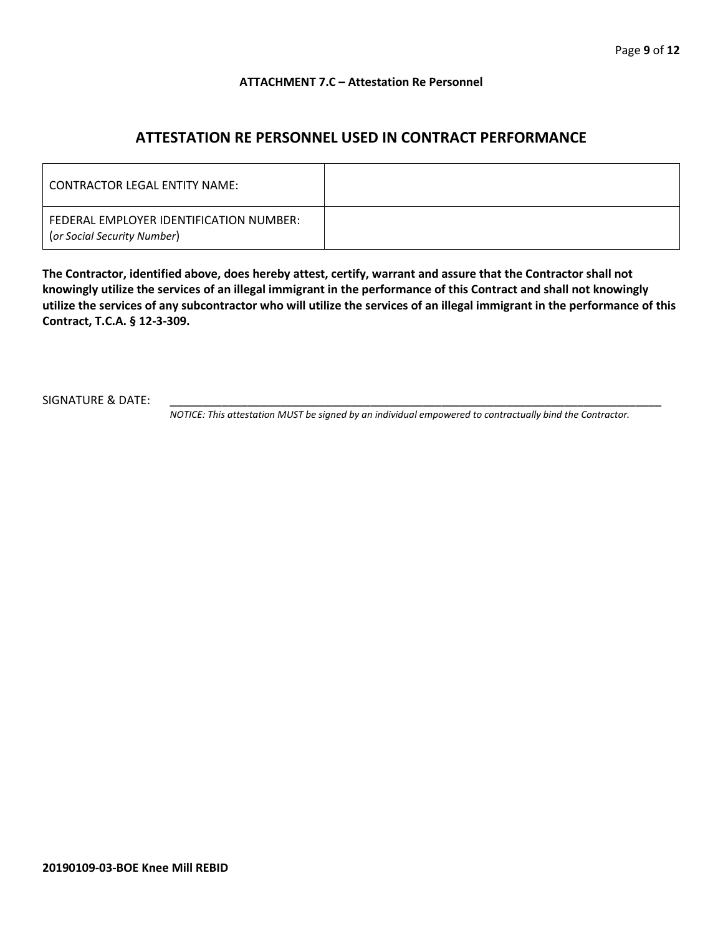#### **ATTACHMENT 7.C – Attestation Re Personnel**

## **ATTESTATION RE PERSONNEL USED IN CONTRACT PERFORMANCE**

| CONTRACTOR LEGAL ENTITY NAME:                                          |  |
|------------------------------------------------------------------------|--|
| FEDERAL EMPLOYER IDENTIFICATION NUMBER:<br>(or Social Security Number) |  |

**The Contractor, identified above, does hereby attest, certify, warrant and assure that the Contractor shall not knowingly utilize the services of an illegal immigrant in the performance of this Contract and shall not knowingly utilize the services of any subcontractor who will utilize the services of an illegal immigrant in the performance of this Contract, T.C.A. § 12-3-309.**

SIGNATURE & DATE:

*NOTICE: This attestation MUST be signed by an individual empowered to contractually bind the Contractor.*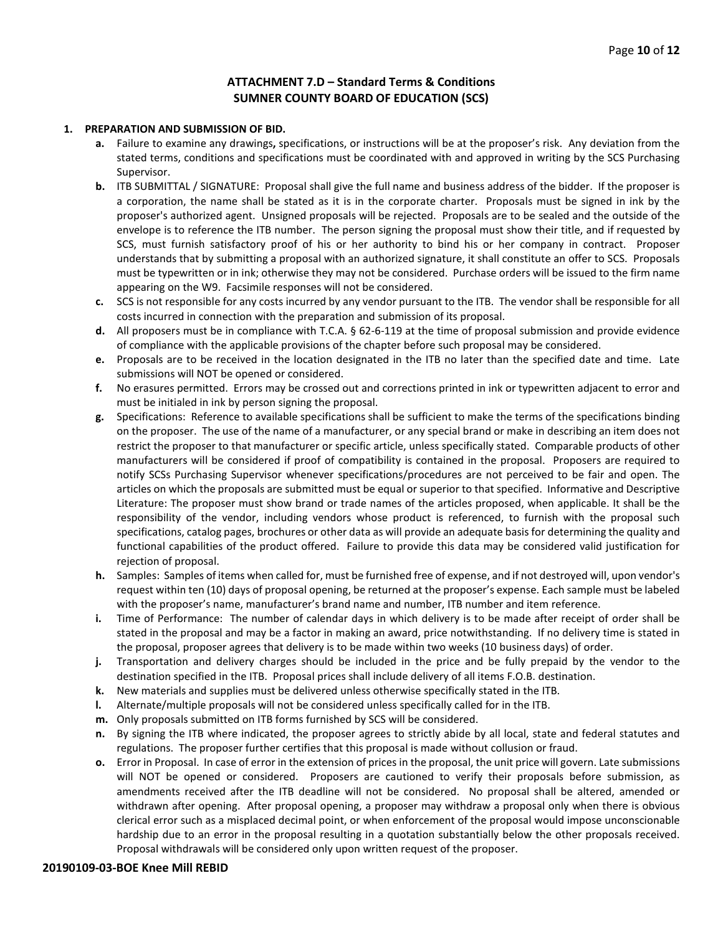#### **ATTACHMENT 7.D – Standard Terms & Conditions SUMNER COUNTY BOARD OF EDUCATION (SCS)**

#### **1. PREPARATION AND SUBMISSION OF BID.**

- **a.** Failure to examine any drawings**,** specifications, or instructions will be at the proposer's risk. Any deviation from the stated terms, conditions and specifications must be coordinated with and approved in writing by the SCS Purchasing Supervisor.
- **b.** ITB SUBMITTAL / SIGNATURE: Proposal shall give the full name and business address of the bidder. If the proposer is a corporation, the name shall be stated as it is in the corporate charter. Proposals must be signed in ink by the proposer's authorized agent. Unsigned proposals will be rejected. Proposals are to be sealed and the outside of the envelope is to reference the ITB number. The person signing the proposal must show their title, and if requested by SCS, must furnish satisfactory proof of his or her authority to bind his or her company in contract. Proposer understands that by submitting a proposal with an authorized signature, it shall constitute an offer to SCS. Proposals must be typewritten or in ink; otherwise they may not be considered. Purchase orders will be issued to the firm name appearing on the W9. Facsimile responses will not be considered.
- **c.** SCS is not responsible for any costs incurred by any vendor pursuant to the ITB. The vendor shall be responsible for all costs incurred in connection with the preparation and submission of its proposal.
- **d.** All proposers must be in compliance with T.C.A. § 62-6-119 at the time of proposal submission and provide evidence of compliance with the applicable provisions of the chapter before such proposal may be considered.
- **e.** Proposals are to be received in the location designated in the ITB no later than the specified date and time. Late submissions will NOT be opened or considered.
- **f.** No erasures permitted. Errors may be crossed out and corrections printed in ink or typewritten adjacent to error and must be initialed in ink by person signing the proposal.
- **g.** Specifications: Reference to available specifications shall be sufficient to make the terms of the specifications binding on the proposer. The use of the name of a manufacturer, or any special brand or make in describing an item does not restrict the proposer to that manufacturer or specific article, unless specifically stated. Comparable products of other manufacturers will be considered if proof of compatibility is contained in the proposal. Proposers are required to notify SCSs Purchasing Supervisor whenever specifications/procedures are not perceived to be fair and open. The articles on which the proposals are submitted must be equal or superior to that specified. Informative and Descriptive Literature: The proposer must show brand or trade names of the articles proposed, when applicable. It shall be the responsibility of the vendor, including vendors whose product is referenced, to furnish with the proposal such specifications, catalog pages, brochures or other data as will provide an adequate basis for determining the quality and functional capabilities of the product offered. Failure to provide this data may be considered valid justification for rejection of proposal.
- **h.** Samples: Samples of items when called for, must be furnished free of expense, and if not destroyed will, upon vendor's request within ten (10) days of proposal opening, be returned at the proposer's expense. Each sample must be labeled with the proposer's name, manufacturer's brand name and number, ITB number and item reference.
- **i.** Time of Performance: The number of calendar days in which delivery is to be made after receipt of order shall be stated in the proposal and may be a factor in making an award, price notwithstanding. If no delivery time is stated in the proposal, proposer agrees that delivery is to be made within two weeks (10 business days) of order.
- **j.** Transportation and delivery charges should be included in the price and be fully prepaid by the vendor to the destination specified in the ITB. Proposal prices shall include delivery of all items F.O.B. destination.
- **k.** New materials and supplies must be delivered unless otherwise specifically stated in the ITB.
- **l.** Alternate/multiple proposals will not be considered unless specifically called for in the ITB.
- **m.** Only proposals submitted on ITB forms furnished by SCS will be considered.
- **n.** By signing the ITB where indicated, the proposer agrees to strictly abide by all local, state and federal statutes and regulations. The proposer further certifies that this proposal is made without collusion or fraud.
- **o.** Error in Proposal. In case of error in the extension of prices in the proposal, the unit price will govern. Late submissions will NOT be opened or considered. Proposers are cautioned to verify their proposals before submission, as amendments received after the ITB deadline will not be considered. No proposal shall be altered, amended or withdrawn after opening. After proposal opening, a proposer may withdraw a proposal only when there is obvious clerical error such as a misplaced decimal point, or when enforcement of the proposal would impose unconscionable hardship due to an error in the proposal resulting in a quotation substantially below the other proposals received. Proposal withdrawals will be considered only upon written request of the proposer.

#### **20190109-03-BOE Knee Mill REBID**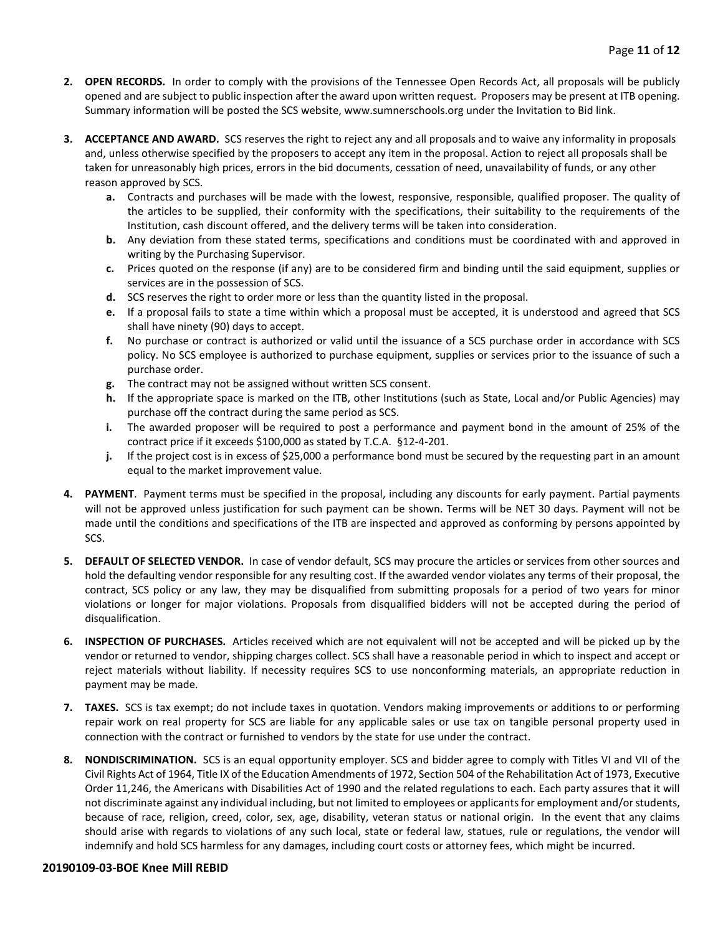- **2. OPEN RECORDS.** In order to comply with the provisions of the Tennessee Open Records Act, all proposals will be publicly opened and are subject to public inspection after the award upon written request. Proposers may be present at ITB opening. Summary information will be posted the SCS website, www.sumnerschools.org under the Invitation to Bid link.
- **3. ACCEPTANCE AND AWARD.** SCS reserves the right to reject any and all proposals and to waive any informality in proposals and, unless otherwise specified by the proposers to accept any item in the proposal. Action to reject all proposals shall be taken for unreasonably high prices, errors in the bid documents, cessation of need, unavailability of funds, or any other reason approved by SCS.
	- **a.** Contracts and purchases will be made with the lowest, responsive, responsible, qualified proposer. The quality of the articles to be supplied, their conformity with the specifications, their suitability to the requirements of the Institution, cash discount offered, and the delivery terms will be taken into consideration.
	- **b.** Any deviation from these stated terms, specifications and conditions must be coordinated with and approved in writing by the Purchasing Supervisor.
	- **c.** Prices quoted on the response (if any) are to be considered firm and binding until the said equipment, supplies or services are in the possession of SCS.
	- **d.** SCS reserves the right to order more or less than the quantity listed in the proposal.
	- **e.** If a proposal fails to state a time within which a proposal must be accepted, it is understood and agreed that SCS shall have ninety (90) days to accept.
	- **f.** No purchase or contract is authorized or valid until the issuance of a SCS purchase order in accordance with SCS policy. No SCS employee is authorized to purchase equipment, supplies or services prior to the issuance of such a purchase order.
	- **g.** The contract may not be assigned without written SCS consent.
	- **h.** If the appropriate space is marked on the ITB, other Institutions (such as State, Local and/or Public Agencies) may purchase off the contract during the same period as SCS.
	- **i.** The awarded proposer will be required to post a performance and payment bond in the amount of 25% of the contract price if it exceeds \$100,000 as stated by T.C.A. §12-4-201.
	- **j.** If the project cost is in excess of \$25,000 a performance bond must be secured by the requesting part in an amount equal to the market improvement value.
- **4. PAYMENT**. Payment terms must be specified in the proposal, including any discounts for early payment. Partial payments will not be approved unless justification for such payment can be shown. Terms will be NET 30 days. Payment will not be made until the conditions and specifications of the ITB are inspected and approved as conforming by persons appointed by SCS.
- **5. DEFAULT OF SELECTED VENDOR.** In case of vendor default, SCS may procure the articles or services from other sources and hold the defaulting vendor responsible for any resulting cost. If the awarded vendor violates any terms of their proposal, the contract, SCS policy or any law, they may be disqualified from submitting proposals for a period of two years for minor violations or longer for major violations. Proposals from disqualified bidders will not be accepted during the period of disqualification.
- **6. INSPECTION OF PURCHASES.** Articles received which are not equivalent will not be accepted and will be picked up by the vendor or returned to vendor, shipping charges collect. SCS shall have a reasonable period in which to inspect and accept or reject materials without liability. If necessity requires SCS to use nonconforming materials, an appropriate reduction in payment may be made.
- **7. TAXES.** SCS is tax exempt; do not include taxes in quotation. Vendors making improvements or additions to or performing repair work on real property for SCS are liable for any applicable sales or use tax on tangible personal property used in connection with the contract or furnished to vendors by the state for use under the contract.
- **8. NONDISCRIMINATION.** SCS is an equal opportunity employer. SCS and bidder agree to comply with Titles VI and VII of the Civil Rights Act of 1964, Title IX of the Education Amendments of 1972, Section 504 of the Rehabilitation Act of 1973, Executive Order 11,246, the Americans with Disabilities Act of 1990 and the related regulations to each. Each party assures that it will not discriminate against any individual including, but not limited to employees or applicants for employment and/or students, because of race, religion, creed, color, sex, age, disability, veteran status or national origin. In the event that any claims should arise with regards to violations of any such local, state or federal law, statues, rule or regulations, the vendor will indemnify and hold SCS harmless for any damages, including court costs or attorney fees, which might be incurred.

#### **20190109-03-BOE Knee Mill REBID**